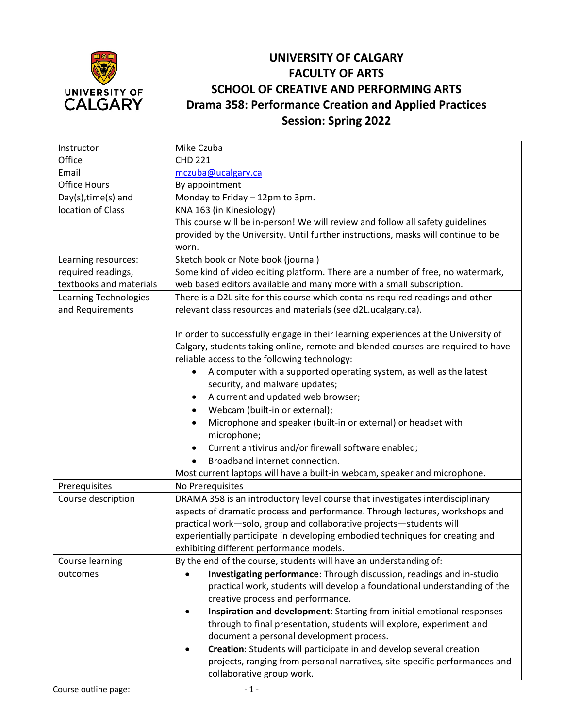

## **UNIVERSITY OF CALGARY FACULTY OF ARTS SCHOOL OF CREATIVE AND PERFORMING ARTS Drama 358: Performance Creation and Applied Practices Session: Spring 2022**

| Instructor                   | Mike Czuba                                                                          |
|------------------------------|-------------------------------------------------------------------------------------|
| Office                       | <b>CHD 221</b>                                                                      |
| Email                        | mczuba@ucalgary.ca                                                                  |
| <b>Office Hours</b>          | By appointment                                                                      |
| Day(s), time(s) and          | Monday to Friday - 12pm to 3pm.                                                     |
| location of Class            | KNA 163 (in Kinesiology)                                                            |
|                              | This course will be in-person! We will review and follow all safety guidelines      |
|                              | provided by the University. Until further instructions, masks will continue to be   |
|                              | worn.                                                                               |
| Learning resources:          | Sketch book or Note book (journal)                                                  |
| required readings,           | Some kind of video editing platform. There are a number of free, no watermark,      |
| textbooks and materials      | web based editors available and many more with a small subscription.                |
| <b>Learning Technologies</b> | There is a D2L site for this course which contains required readings and other      |
| and Requirements             | relevant class resources and materials (see d2L.ucalgary.ca).                       |
|                              |                                                                                     |
|                              | In order to successfully engage in their learning experiences at the University of  |
|                              | Calgary, students taking online, remote and blended courses are required to have    |
|                              | reliable access to the following technology:                                        |
|                              | A computer with a supported operating system, as well as the latest<br>$\bullet$    |
|                              | security, and malware updates;                                                      |
|                              | A current and updated web browser;<br>$\bullet$                                     |
|                              | Webcam (built-in or external);<br>$\bullet$                                         |
|                              | Microphone and speaker (built-in or external) or headset with<br>$\bullet$          |
|                              | microphone;                                                                         |
|                              | Current antivirus and/or firewall software enabled;<br>$\bullet$                    |
|                              | Broadband internet connection.<br>$\bullet$                                         |
|                              | Most current laptops will have a built-in webcam, speaker and microphone.           |
| Prerequisites                | No Prerequisites                                                                    |
| Course description           | DRAMA 358 is an introductory level course that investigates interdisciplinary       |
|                              | aspects of dramatic process and performance. Through lectures, workshops and        |
|                              | practical work-solo, group and collaborative projects-students will                 |
|                              | experientially participate in developing embodied techniques for creating and       |
|                              | exhibiting different performance models.                                            |
| Course learning              | By the end of the course, students will have an understanding of:                   |
| outcomes                     | Investigating performance: Through discussion, readings and in-studio               |
|                              | practical work, students will develop a foundational understanding of the           |
|                              | creative process and performance.                                                   |
|                              | Inspiration and development: Starting from initial emotional responses<br>$\bullet$ |
|                              | through to final presentation, students will explore, experiment and                |
|                              | document a personal development process.                                            |
|                              | Creation: Students will participate in and develop several creation                 |
|                              | projects, ranging from personal narratives, site-specific performances and          |
|                              | collaborative group work.                                                           |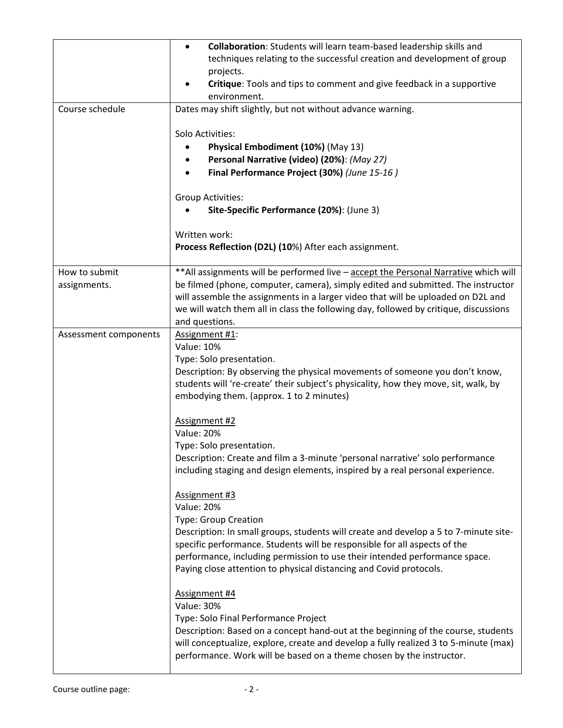|                       | Collaboration: Students will learn team-based leadership skills and<br>$\bullet$     |
|-----------------------|--------------------------------------------------------------------------------------|
|                       | techniques relating to the successful creation and development of group              |
|                       | projects.                                                                            |
|                       | Critique: Tools and tips to comment and give feedback in a supportive                |
|                       | environment.                                                                         |
| Course schedule       | Dates may shift slightly, but not without advance warning.                           |
|                       |                                                                                      |
|                       | Solo Activities:                                                                     |
|                       | Physical Embodiment (10%) (May 13)<br>$\bullet$                                      |
|                       | Personal Narrative (video) (20%): (May 27)                                           |
|                       | Final Performance Project (30%) (June 15-16)                                         |
|                       |                                                                                      |
|                       | Group Activities:                                                                    |
|                       | Site-Specific Performance (20%): (June 3)                                            |
|                       |                                                                                      |
|                       | Written work:                                                                        |
|                       | Process Reflection (D2L) (10%) After each assignment.                                |
|                       |                                                                                      |
| How to submit         | ** All assignments will be performed live - accept the Personal Narrative which will |
| assignments.          | be filmed (phone, computer, camera), simply edited and submitted. The instructor     |
|                       | will assemble the assignments in a larger video that will be uploaded on D2L and     |
|                       | we will watch them all in class the following day, followed by critique, discussions |
|                       | and questions.                                                                       |
| Assessment components | Assignment #1:                                                                       |
|                       | <b>Value: 10%</b>                                                                    |
|                       | Type: Solo presentation.                                                             |
|                       | Description: By observing the physical movements of someone you don't know,          |
|                       | students will 're-create' their subject's physicality, how they move, sit, walk, by  |
|                       | embodying them. (approx. 1 to 2 minutes)                                             |
|                       |                                                                                      |
|                       | Assignment #2                                                                        |
|                       | <b>Value: 20%</b>                                                                    |
|                       | Type: Solo presentation.                                                             |
|                       | Description: Create and film a 3-minute 'personal narrative' solo performance        |
|                       | including staging and design elements, inspired by a real personal experience.       |
|                       |                                                                                      |
|                       | Assignment #3<br><b>Value: 20%</b>                                                   |
|                       | <b>Type: Group Creation</b>                                                          |
|                       | Description: In small groups, students will create and develop a 5 to 7-minute site- |
|                       | specific performance. Students will be responsible for all aspects of the            |
|                       | performance, including permission to use their intended performance space.           |
|                       | Paying close attention to physical distancing and Covid protocols.                   |
|                       |                                                                                      |
|                       | Assignment #4                                                                        |
|                       | <b>Value: 30%</b>                                                                    |
|                       | Type: Solo Final Performance Project                                                 |
|                       | Description: Based on a concept hand-out at the beginning of the course, students    |
|                       | will conceptualize, explore, create and develop a fully realized 3 to 5-minute (max) |
|                       | performance. Work will be based on a theme chosen by the instructor.                 |
|                       |                                                                                      |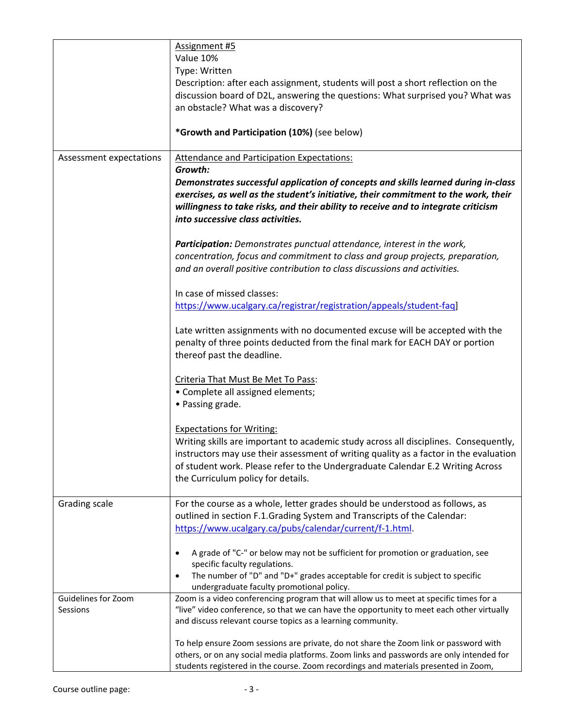|                                 | Assignment #5<br>Value 10%<br>Type: Written<br>Description: after each assignment, students will post a short reflection on the<br>discussion board of D2L, answering the questions: What surprised you? What was<br>an obstacle? What was a discovery?<br>*Growth and Participation (10%) (see below)                                                               |
|---------------------------------|----------------------------------------------------------------------------------------------------------------------------------------------------------------------------------------------------------------------------------------------------------------------------------------------------------------------------------------------------------------------|
|                                 |                                                                                                                                                                                                                                                                                                                                                                      |
| Assessment expectations         | <b>Attendance and Participation Expectations:</b><br>Growth:<br>Demonstrates successful application of concepts and skills learned during in-class<br>exercises, as well as the student's initiative, their commitment to the work, their<br>willingness to take risks, and their ability to receive and to integrate criticism<br>into successive class activities. |
|                                 | <b>Participation:</b> Demonstrates punctual attendance, interest in the work,<br>concentration, focus and commitment to class and group projects, preparation,<br>and an overall positive contribution to class discussions and activities.                                                                                                                          |
|                                 | In case of missed classes:<br>https://www.ucalgary.ca/registrar/registration/appeals/student-faq]                                                                                                                                                                                                                                                                    |
|                                 | Late written assignments with no documented excuse will be accepted with the<br>penalty of three points deducted from the final mark for EACH DAY or portion<br>thereof past the deadline.                                                                                                                                                                           |
|                                 | Criteria That Must Be Met To Pass:<br>• Complete all assigned elements;<br>• Passing grade.                                                                                                                                                                                                                                                                          |
|                                 | <b>Expectations for Writing:</b><br>Writing skills are important to academic study across all disciplines. Consequently,<br>instructors may use their assessment of writing quality as a factor in the evaluation<br>of student work. Please refer to the Undergraduate Calendar E.2 Writing Across<br>the Curriculum policy for details.                            |
| Grading scale                   | For the course as a whole, letter grades should be understood as follows, as<br>outlined in section F.1.Grading System and Transcripts of the Calendar:<br>https://www.ucalgary.ca/pubs/calendar/current/f-1.html.                                                                                                                                                   |
|                                 | A grade of "C-" or below may not be sufficient for promotion or graduation, see<br>specific faculty regulations.<br>The number of "D" and "D+" grades acceptable for credit is subject to specific<br>undergraduate faculty promotional policy.                                                                                                                      |
| Guidelines for Zoom<br>Sessions | Zoom is a video conferencing program that will allow us to meet at specific times for a<br>"live" video conference, so that we can have the opportunity to meet each other virtually<br>and discuss relevant course topics as a learning community.                                                                                                                  |
|                                 | To help ensure Zoom sessions are private, do not share the Zoom link or password with<br>others, or on any social media platforms. Zoom links and passwords are only intended for<br>students registered in the course. Zoom recordings and materials presented in Zoom,                                                                                             |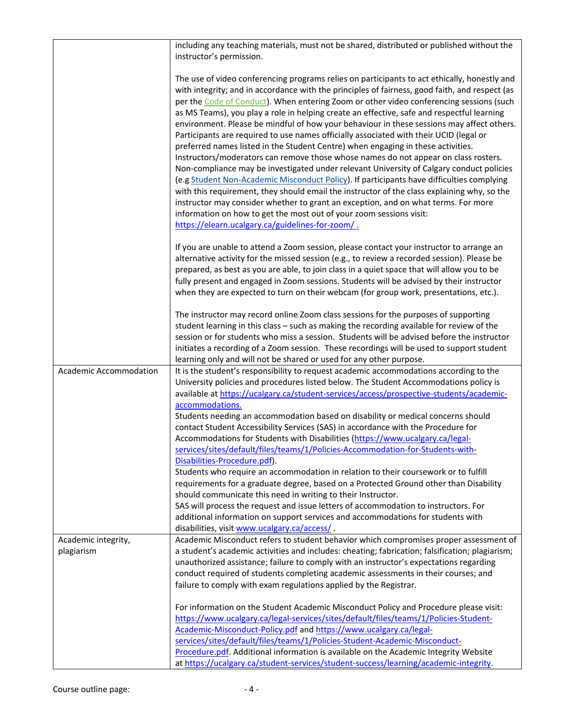|                                   | including any teaching materials, must not be shared, distributed or published without the<br>instructor's permission.                                                                                                                                                                                                                                                                                                                                                                                                                                                                                                                                                                                                                                                                                                                                                                                                                                                                                                                                                                                                                                                                                                                                             |
|-----------------------------------|--------------------------------------------------------------------------------------------------------------------------------------------------------------------------------------------------------------------------------------------------------------------------------------------------------------------------------------------------------------------------------------------------------------------------------------------------------------------------------------------------------------------------------------------------------------------------------------------------------------------------------------------------------------------------------------------------------------------------------------------------------------------------------------------------------------------------------------------------------------------------------------------------------------------------------------------------------------------------------------------------------------------------------------------------------------------------------------------------------------------------------------------------------------------------------------------------------------------------------------------------------------------|
|                                   | The use of video conferencing programs relies on participants to act ethically, honestly and<br>with integrity; and in accordance with the principles of fairness, good faith, and respect (as<br>per the Code of Conduct). When entering Zoom or other video conferencing sessions (such<br>as MS Teams), you play a role in helping create an effective, safe and respectful learning<br>environment. Please be mindful of how your behaviour in these sessions may affect others.<br>Participants are required to use names officially associated with their UCID (legal or<br>preferred names listed in the Student Centre) when engaging in these activities.<br>Instructors/moderators can remove those whose names do not appear on class rosters.<br>Non-compliance may be investigated under relevant University of Calgary conduct policies<br>(e.g Student Non-Academic Misconduct Policy). If participants have difficulties complying<br>with this requirement, they should email the instructor of the class explaining why, so the<br>instructor may consider whether to grant an exception, and on what terms. For more<br>information on how to get the most out of your zoom sessions visit:<br>https://elearn.ucalgary.ca/guidelines-for-zoom/. |
|                                   | If you are unable to attend a Zoom session, please contact your instructor to arrange an<br>alternative activity for the missed session (e.g., to review a recorded session). Please be<br>prepared, as best as you are able, to join class in a quiet space that will allow you to be<br>fully present and engaged in Zoom sessions. Students will be advised by their instructor<br>when they are expected to turn on their webcam (for group work, presentations, etc.).                                                                                                                                                                                                                                                                                                                                                                                                                                                                                                                                                                                                                                                                                                                                                                                        |
|                                   | The instructor may record online Zoom class sessions for the purposes of supporting<br>student learning in this class - such as making the recording available for review of the<br>session or for students who miss a session. Students will be advised before the instructor<br>initiates a recording of a Zoom session. These recordings will be used to support student<br>learning only and will not be shared or used for any other purpose.                                                                                                                                                                                                                                                                                                                                                                                                                                                                                                                                                                                                                                                                                                                                                                                                                 |
| <b>Academic Accommodation</b>     | It is the student's responsibility to request academic accommodations according to the<br>University policies and procedures listed below. The Student Accommodations policy is<br>available at https://ucalgary.ca/student-services/access/prospective-students/academic-<br>accommodations.                                                                                                                                                                                                                                                                                                                                                                                                                                                                                                                                                                                                                                                                                                                                                                                                                                                                                                                                                                      |
|                                   | Students needing an accommodation based on disability or medical concerns should<br>contact Student Accessibility Services (SAS) in accordance with the Procedure for<br>Accommodations for Students with Disabilities (https://www.ucalgary.ca/legal-<br>services/sites/default/files/teams/1/Policies-Accommodation-for-Students-with-<br>Disabilities-Procedure.pdf).                                                                                                                                                                                                                                                                                                                                                                                                                                                                                                                                                                                                                                                                                                                                                                                                                                                                                           |
|                                   | Students who require an accommodation in relation to their coursework or to fulfill<br>requirements for a graduate degree, based on a Protected Ground other than Disability<br>should communicate this need in writing to their Instructor.<br>SAS will process the request and issue letters of accommodation to instructors. For<br>additional information on support services and accommodations for students with<br>disabilities, visit www.ucalgary.ca/access/.                                                                                                                                                                                                                                                                                                                                                                                                                                                                                                                                                                                                                                                                                                                                                                                             |
| Academic integrity,<br>plagiarism | Academic Misconduct refers to student behavior which compromises proper assessment of<br>a student's academic activities and includes: cheating; fabrication; falsification; plagiarism;<br>unauthorized assistance; failure to comply with an instructor's expectations regarding<br>conduct required of students completing academic assessments in their courses; and<br>failure to comply with exam regulations applied by the Registrar.                                                                                                                                                                                                                                                                                                                                                                                                                                                                                                                                                                                                                                                                                                                                                                                                                      |
|                                   | For information on the Student Academic Misconduct Policy and Procedure please visit:<br>https://www.ucalgary.ca/legal-services/sites/default/files/teams/1/Policies-Student-<br>Academic-Misconduct-Policy.pdf and https://www.ucalgary.ca/legal-<br>services/sites/default/files/teams/1/Policies-Student-Academic-Misconduct-<br>Procedure.pdf. Additional information is available on the Academic Integrity Website<br>at https://ucalgary.ca/student-services/student-success/learning/academic-integrity.                                                                                                                                                                                                                                                                                                                                                                                                                                                                                                                                                                                                                                                                                                                                                   |